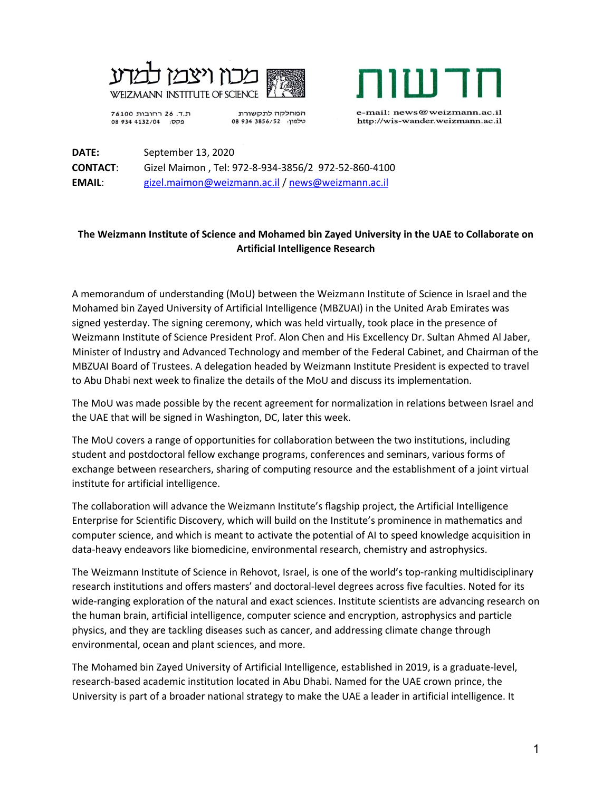



ת.ד. 26 רחובות 76100 פקס: 08 934 4132/04

המחלקה לתקשורת 08 934 3856/52 08 e-mail: news@weizmann.ac.il http://wis-wander.weizmann.ac.il

**DATE:** September 13, 2020 **CONTACT**: Gizel Maimon , Tel: 972-8-934-3856/2 972-52-860-4100 **EMAIL**: [gizel.maimon@weizmann.ac.il](mailto:gizel.maimon@weizmann.ac.il) / [news@weizmann.ac.il](mailto:news@weizmann.ac.il)

## **The Weizmann Institute of Science and Mohamed bin Zayed University in the UAE to Collaborate on Artificial Intelligence Research**

A memorandum of understanding (MoU) between the Weizmann Institute of Science in Israel and the Mohamed bin Zayed University of Artificial Intelligence (MBZUAI) in the United Arab Emirates was signed yesterday. The signing ceremony, which was held virtually, took place in the presence of Weizmann Institute of Science President Prof. Alon Chen and His Excellency Dr. Sultan Ahmed Al Jaber, Minister of Industry and Advanced Technology and member of the Federal Cabinet, and Chairman of the MBZUAI Board of Trustees. A delegation headed by Weizmann Institute President is expected to travel to Abu Dhabi next week to finalize the details of the MoU and discuss its implementation.

The MoU was made possible by the recent agreement for normalization in relations between Israel and the UAE that will be signed in Washington, DC, later this week.

The MoU covers a range of opportunities for collaboration between the two institutions, including student and postdoctoral fellow exchange programs, conferences and seminars, various forms of exchange between researchers, sharing of computing resource and the establishment of a joint virtual institute for artificial intelligence.

The collaboration will advance the Weizmann Institute's flagship project, the Artificial Intelligence Enterprise for Scientific Discovery, which will build on the Institute's prominence in mathematics and computer science, and which is meant to activate the potential of AI to speed knowledge acquisition in data-heavy endeavors like biomedicine, environmental research, chemistry and astrophysics.

The Weizmann Institute of Science in Rehovot, Israel, is one of the world's top-ranking multidisciplinary research institutions and offers masters' and doctoral-level degrees across five faculties. Noted for its wide-ranging exploration of the natural and exact sciences. Institute scientists are advancing research on the human brain, artificial intelligence, computer science and encryption, astrophysics and particle physics, and they are tackling diseases such as cancer, and addressing climate change through environmental, ocean and plant sciences, and more.

The Mohamed bin Zayed University of Artificial Intelligence, established in 2019, is a graduate-level, research-based academic institution located in Abu Dhabi. Named for the UAE crown prince, the University is part of a broader national strategy to make the UAE a leader in artificial intelligence. It